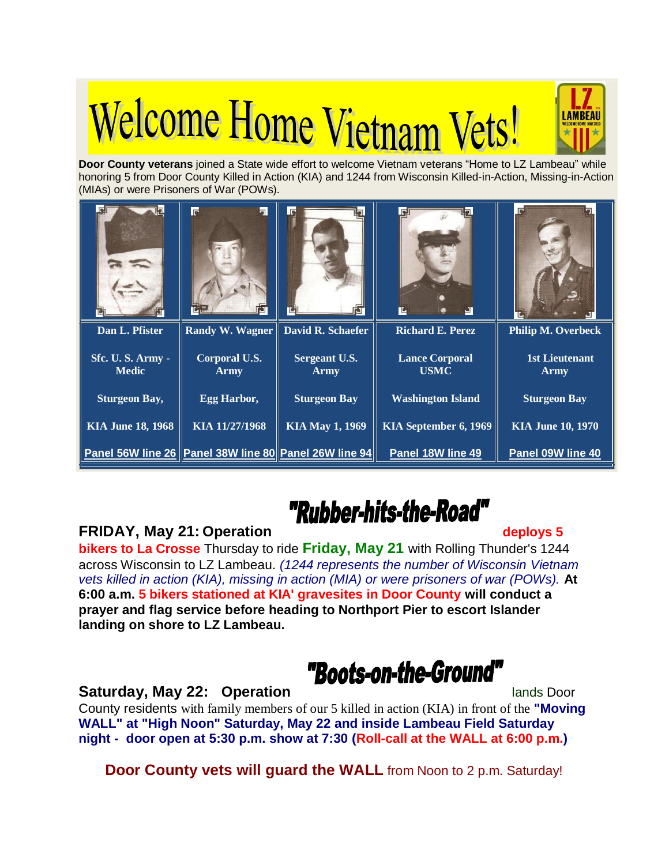# **Welcome Home Vietnam Vets!**





## "Rubber-hits-the-Road"

### **FRIDAY, May 21: Operation deploys 5**

**bikers to La Crosse** Thursday to ride **Friday, May 21** with Rolling Thunder's 1244 across Wisconsin to LZ Lambeau. *(1244 represents the number of Wisconsin Vietnam vets killed in action (KIA), missing in action (MIA) or were prisoners of war (POWs).* **At 6:00 a.m. 5 bikers stationed at KIA' gravesites in Door County will conduct a prayer and flag service before heading to Northport Pier to escort Islander landing on shore to LZ Lambeau.**

"Boots-on-the-Ground"

**Saturday, May 22: Operation <b>Contract Contract Contract Contract Contract Contract Contract Contract Contract Contract Contract Contract Contract Contract Contract Contract Contract Contract Contract Contract Contract Con** County residents with family members of our 5 killed in action (KIA) in front of the **"Moving WALL" at "High Noon" Saturday, May 22 and inside Lambeau Field Saturday night - door open at 5:30 p.m. show at 7:30 (Roll-call at the WALL at 6:00 p.m.)**

**Door County vets will guard the WALL** from Noon to 2 p.m. Saturday!

LAMBEAL